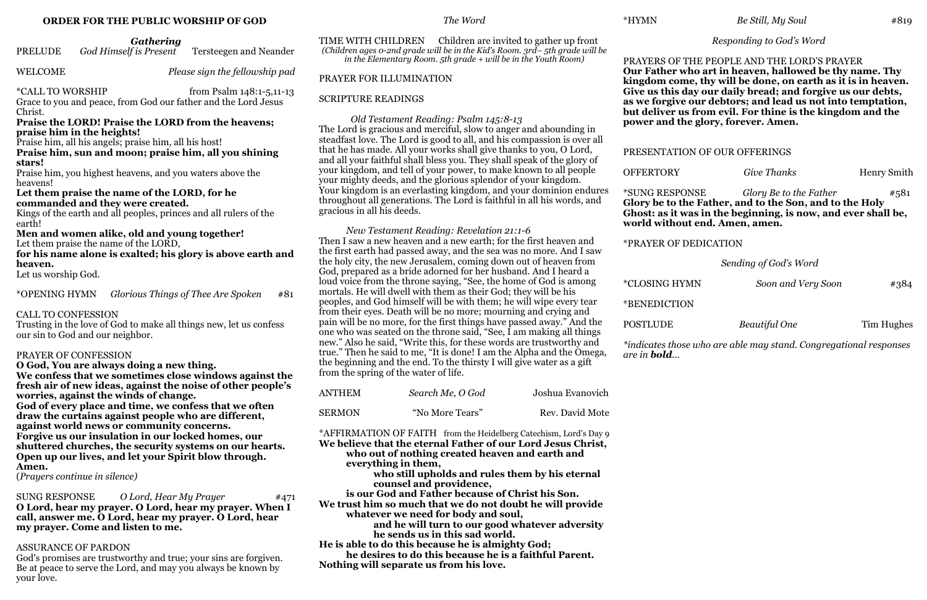#### **ORDER FOR THE PUBLIC WORSHIP OF GOD**

*Gathering*

| <b>PRELUDE</b> | God Himself is Present | Tersteegen and Neander |
|----------------|------------------------|------------------------|
|----------------|------------------------|------------------------|

WELCOME *Please sign the fellowship pad* 

\*CALL TO WORSHIP from Psalm 148:1-5,11-13 Grace to you and peace, from God our father and the Lord Jesus Christ.

#### **Praise the LORD! Praise the LORD from the heavens; praise him in the heights!**

Praise him, all his angels; praise him, all his host!

**Praise him, sun and moon; praise him, all you shining stars!**

Praise him, you highest heavens, and you waters above the heavens!

#### **Let them praise the name of the LORD, for he commanded and they were created.**

Kings of the earth and all peoples, princes and all rulers of the earth!

#### **Men and women alike, old and young together!** Let them praise the name of the LORD,

**for his name alone is exalted; his glory is above earth and heaven.**

Let us worship God.

\*OPENING HYMN *Glorious Things of Thee Are Spoken* #81

# CALL TO CONFESSION

Trusting in the love of God to make all things new, let us confess our sin to God and our neighbor.

# PRAYER OF CONFESSION

**O God, You are always doing a new thing. We confess that we sometimes close windows against the fresh air of new ideas, against the noise of other people's worries, against the winds of change. God of every place and time, we confess that we often draw the curtains against people who are different, against world news or community concerns. Forgive us our insulation in our locked homes, our shuttered churches, the security systems on our hearts. Open up our lives, and let your Spirit blow through. Amen.**

(*Prayers continue in silence)*

SUNG RESPONSE *O Lord, Hear My Prayer* #471 **O Lord, hear my prayer. O Lord, hear my prayer. When I call, answer me. O Lord, hear my prayer. O Lord, hear my prayer. Come and listen to me.** 

# ASSURANCE OF PARDON

God's promises are trustworthy and true; your sins are forgiven. Be at peace to serve the Lord, and may you always be known by your love.

# *The Word*

TIME WITH CHILDREN Children are invited to gather up front *(Children ages 0-2nd grade will be in the Kid's Room. 3rd– 5th grade will be in the Elementary Room. 5th grade + will be in the Youth Room)* 

# PRAYER FOR ILLUMINATION

# SCRIPTURE READINGS

 *Old Testament Reading: Psalm 145:8-13* The Lord is gracious and merciful, slow to anger and abounding in steadfast love. The Lord is good to all, and his compassion is over all that he has made. All your works shall give thanks to you, O Lord, and all your faithful shall bless you. They shall speak of the glory of your kingdom, and tell of your power, to make known to all people your mighty deeds, and the glorious splendor of your kingdom. Your kingdom is an everlasting kingdom, and your dominion endures throughout all generations. The Lord is faithful in all his words, and gracious in all his deeds.

*New Testament Reading: Revelation 21:1-6* Then I saw a new heaven and a new earth; for the first heaven and the first earth had passed away, and the sea was no more. And I saw the holy city, the new Jerusalem, coming down out of heaven from God, prepared as a bride adorned for her husband. And I heard a loud voice from the throne saying, "See, the home of God is among mortals. He will dwell with them as their God; they will be his peoples, and God himself will be with them; he will wipe every tear from their eyes. Death will be no more; mourning and crying and pain will be no more, for the first things have passed away." And the one who was seated on the throne said, "See, I am making all things new." Also he said, "Write this, for these words are trustworthy and true." Then he said to me, "It is done! I am the Alpha and the Omega, the beginning and the end. To the thirsty I will give water as a gift from the spring of the water of life.

| ANTHEM        | Search Me, O God | Joshua Evanovich |
|---------------|------------------|------------------|
| <b>SERMON</b> | "No More Tears"  | Rev. David Mote  |

\*AFFIRMATION OF FAITH from the Heidelberg Catechism, Lord's Day 9 **We believe that the eternal Father of our Lord Jesus Christ, who out of nothing created heaven and earth and everything in them,** 

**who still upholds and rules them by his eternal counsel and providence,** 

**is our God and Father because of Christ his Son.** 

**We trust him so much that we do not doubt he will provide whatever we need for body and soul,** 

**and he will turn to our good whatever adversity he sends us in this sad world.** 

**He is able to do this because he is almighty God; he desires to do this because he is a faithful Parent. Nothing will separate us from his love.** 

#### \*HYMN *Be Still, My Soul* #819

### *Responding to God's Word*

#### PRAYERS OF THE PEOPLE AND THE LORD'S PRAYER **Our Father who art in heaven, hallowed be thy name. Thy kingdom come, thy will be done, on earth as it is in heaven. Give us this day our daily bread; and forgive us our debts, as we forgive our debtors; and lead us not into temptation, but deliver us from evil. For thine is the kingdom and the power and the glory, forever. Amen.**

### PRESENTATION OF OUR OFFERINGS

**OFFERTORY** *Give Thanks* Henry Smith

#### \*SUNG RESPONSE *Glory Be to the Father* #581 **Glory be to the Father, and to the Son, and to the Holy Ghost: as it was in the beginning, is now, and ever shall be, world without end. Amen, amen.**

\*PRAYER OF DEDICATION

#### *Sending of God's Word*

\*CLOSING HYMN *Soon and Very Soon* #384

POSTLUDE *Beautiful One* Tim Hughes

\*BENEDICTION

*\*indicates those who are able may stand. Congregational responses* 

*are in bold...*